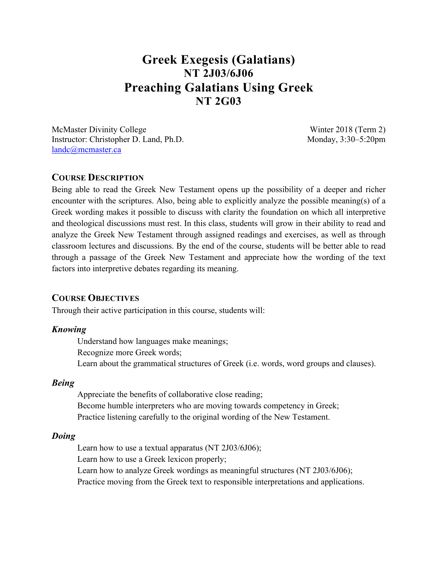# **Greek Exegesis (Galatians) NT 2J03/6J06 Preaching Galatians Using Greek NT 2G03**

McMaster Divinity College Winter 2018 (Term 2) Instructor: Christopher D. Land, Ph.D. Monday, 3:30–5:20pm landc@mcmaster.ca

#### **COURSE DESCRIPTION**

Being able to read the Greek New Testament opens up the possibility of a deeper and richer encounter with the scriptures. Also, being able to explicitly analyze the possible meaning(s) of a Greek wording makes it possible to discuss with clarity the foundation on which all interpretive and theological discussions must rest. In this class, students will grow in their ability to read and analyze the Greek New Testament through assigned readings and exercises, as well as through classroom lectures and discussions. By the end of the course, students will be better able to read through a passage of the Greek New Testament and appreciate how the wording of the text factors into interpretive debates regarding its meaning.

#### **COURSE OBJECTIVES**

Through their active participation in this course, students will:

#### *Knowing*

Understand how languages make meanings; Recognize more Greek words; Learn about the grammatical structures of Greek (i.e. words, word groups and clauses).

#### *Being*

Appreciate the benefits of collaborative close reading; Become humble interpreters who are moving towards competency in Greek; Practice listening carefully to the original wording of the New Testament.

#### *Doing*

Learn how to use a textual apparatus (NT 2J03/6J06); Learn how to use a Greek lexicon properly; Learn how to analyze Greek wordings as meaningful structures (NT 2J03/6J06); Practice moving from the Greek text to responsible interpretations and applications.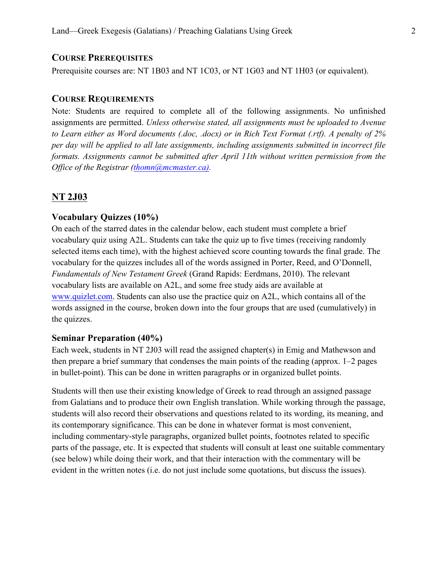#### **COURSE PREREQUISITES**

Prerequisite courses are: NT 1B03 and NT 1C03, or NT 1G03 and NT 1H03 (or equivalent).

#### **COURSE REQUIREMENTS**

Note: Students are required to complete all of the following assignments. No unfinished assignments are permitted. *Unless otherwise stated, all assignments must be uploaded to Avenue to Learn either as Word documents (.doc, .docx) or in Rich Text Format (.rtf). A penalty of 2% per day will be applied to all late assignments, including assignments submitted in incorrect file formats. Assignments cannot be submitted after April 11th without written permission from the Office of the Registrar (thomn@mcmaster.ca).*

# **NT 2J03**

#### **Vocabulary Quizzes (10%)**

On each of the starred dates in the calendar below, each student must complete a brief vocabulary quiz using A2L. Students can take the quiz up to five times (receiving randomly selected items each time), with the highest achieved score counting towards the final grade. The vocabulary for the quizzes includes all of the words assigned in Porter, Reed, and O'Donnell, *Fundamentals of New Testament Greek* (Grand Rapids: Eerdmans, 2010). The relevant vocabulary lists are available on A2L, and some free study aids are available at www.quizlet.com. Students can also use the practice quiz on A2L, which contains all of the words assigned in the course, broken down into the four groups that are used (cumulatively) in the quizzes.

### **Seminar Preparation (40%)**

Each week, students in NT 2J03 will read the assigned chapter(s) in Emig and Mathewson and then prepare a brief summary that condenses the main points of the reading (approx. 1–2 pages in bullet-point). This can be done in written paragraphs or in organized bullet points.

Students will then use their existing knowledge of Greek to read through an assigned passage from Galatians and to produce their own English translation. While working through the passage, students will also record their observations and questions related to its wording, its meaning, and its contemporary significance. This can be done in whatever format is most convenient, including commentary-style paragraphs, organized bullet points, footnotes related to specific parts of the passage, etc. It is expected that students will consult at least one suitable commentary (see below) while doing their work, and that their interaction with the commentary will be evident in the written notes (i.e. do not just include some quotations, but discuss the issues).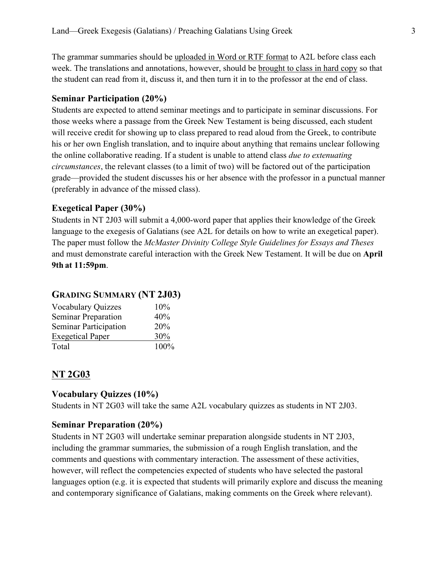The grammar summaries should be uploaded in Word or RTF format to A2L before class each week. The translations and annotations, however, should be brought to class in hard copy so that the student can read from it, discuss it, and then turn it in to the professor at the end of class.

#### **Seminar Participation (20%)**

Students are expected to attend seminar meetings and to participate in seminar discussions. For those weeks where a passage from the Greek New Testament is being discussed, each student will receive credit for showing up to class prepared to read aloud from the Greek, to contribute his or her own English translation, and to inquire about anything that remains unclear following the online collaborative reading. If a student is unable to attend class *due to extenuating circumstances*, the relevant classes (to a limit of two) will be factored out of the participation grade—provided the student discusses his or her absence with the professor in a punctual manner (preferably in advance of the missed class).

#### **Exegetical Paper (30%)**

Students in NT 2J03 will submit a 4,000-word paper that applies their knowledge of the Greek language to the exegesis of Galatians (see A2L for details on how to write an exegetical paper). The paper must follow the *McMaster Divinity College Style Guidelines for Essays and Theses* and must demonstrate careful interaction with the Greek New Testament. It will be due on **April 9th at 11:59pm**.

### **GRADING SUMMARY (NT 2J03)**

| <b>Vocabulary Quizzes</b> | 10%  |
|---------------------------|------|
| Seminar Preparation       | 40%  |
| Seminar Participation     | 20%  |
| <b>Exegetical Paper</b>   | 30%  |
| Total                     | 100% |

# **NT 2G03**

#### **Vocabulary Quizzes (10%)**

Students in NT 2G03 will take the same A2L vocabulary quizzes as students in NT 2J03.

#### **Seminar Preparation (20%)**

Students in NT 2G03 will undertake seminar preparation alongside students in NT 2J03, including the grammar summaries, the submission of a rough English translation, and the comments and questions with commentary interaction. The assessment of these activities, however, will reflect the competencies expected of students who have selected the pastoral languages option (e.g. it is expected that students will primarily explore and discuss the meaning and contemporary significance of Galatians, making comments on the Greek where relevant).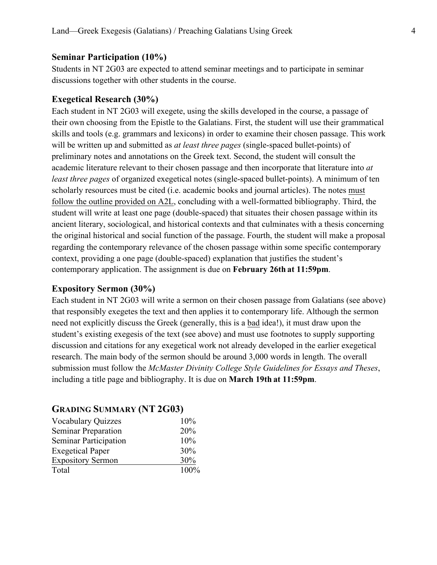#### **Seminar Participation (10%)**

Students in NT 2G03 are expected to attend seminar meetings and to participate in seminar discussions together with other students in the course.

#### **Exegetical Research (30%)**

Each student in NT 2G03 will exegete, using the skills developed in the course, a passage of their own choosing from the Epistle to the Galatians. First, the student will use their grammatical skills and tools (e.g. grammars and lexicons) in order to examine their chosen passage. This work will be written up and submitted as *at least three pages* (single-spaced bullet-points) of preliminary notes and annotations on the Greek text. Second, the student will consult the academic literature relevant to their chosen passage and then incorporate that literature into *at least three pages* of organized exegetical notes (single-spaced bullet-points). A minimum of ten scholarly resources must be cited (i.e. academic books and journal articles). The notes must follow the outline provided on A2L, concluding with a well-formatted bibliography. Third, the student will write at least one page (double-spaced) that situates their chosen passage within its ancient literary, sociological, and historical contexts and that culminates with a thesis concerning the original historical and social function of the passage. Fourth, the student will make a proposal regarding the contemporary relevance of the chosen passage within some specific contemporary context, providing a one page (double-spaced) explanation that justifies the student's contemporary application. The assignment is due on **February 26th at 11:59pm**.

#### **Expository Sermon (30%)**

Each student in NT 2G03 will write a sermon on their chosen passage from Galatians (see above) that responsibly exegetes the text and then applies it to contemporary life. Although the sermon need not explicitly discuss the Greek (generally, this is a bad idea!), it must draw upon the student's existing exegesis of the text (see above) and must use footnotes to supply supporting discussion and citations for any exegetical work not already developed in the earlier exegetical research. The main body of the sermon should be around 3,000 words in length. The overall submission must follow the *McMaster Divinity College Style Guidelines for Essays and Theses*, including a title page and bibliography. It is due on **March 19th at 11:59pm**.

# **GRADING SUMMARY (NT 2G03)**

| <b>Vocabulary Quizzes</b>  | $10\%$ |
|----------------------------|--------|
| <b>Seminar Preparation</b> | 20%    |
| Seminar Participation      | 10%    |
| <b>Exegetical Paper</b>    | 30%    |
| <b>Expository Sermon</b>   | 30%    |
| Total                      | 100%   |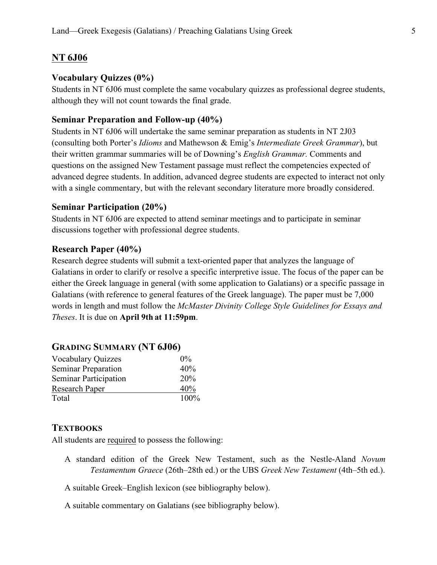# **NT 6J06**

# **Vocabulary Quizzes (0%)**

Students in NT 6J06 must complete the same vocabulary quizzes as professional degree students, although they will not count towards the final grade.

# **Seminar Preparation and Follow-up (40%)**

Students in NT 6J06 will undertake the same seminar preparation as students in NT 2J03 (consulting both Porter's *Idioms* and Mathewson & Emig's *Intermediate Greek Grammar*), but their written grammar summaries will be of Downing's *English Grammar.* Comments and questions on the assigned New Testament passage must reflect the competencies expected of advanced degree students. In addition, advanced degree students are expected to interact not only with a single commentary, but with the relevant secondary literature more broadly considered.

# **Seminar Participation (20%)**

Students in NT 6J06 are expected to attend seminar meetings and to participate in seminar discussions together with professional degree students.

## **Research Paper (40%)**

Research degree students will submit a text-oriented paper that analyzes the language of Galatians in order to clarify or resolve a specific interpretive issue. The focus of the paper can be either the Greek language in general (with some application to Galatians) or a specific passage in Galatians (with reference to general features of the Greek language). The paper must be 7,000 words in length and must follow the *McMaster Divinity College Style Guidelines for Essays and Theses*. It is due on **April 9th at 11:59pm**.

| $0\%$ |
|-------|
| 40%   |
| 20%   |
| 40%   |
| 100%  |
|       |

# **GRADING SUMMARY (NT 6J06)**

# **TEXTBOOKS**

All students are required to possess the following:

- A standard edition of the Greek New Testament, such as the Nestle-Aland *Novum Testamentum Graece* (26th–28th ed.) or the UBS *Greek New Testament* (4th–5th ed.).
- A suitable Greek–English lexicon (see bibliography below).

A suitable commentary on Galatians (see bibliography below).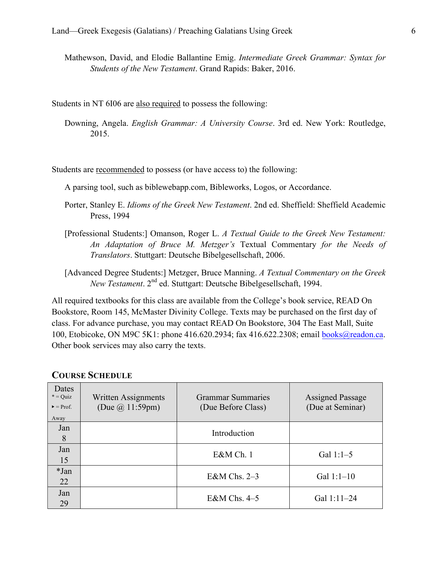Mathewson, David, and Elodie Ballantine Emig. *Intermediate Greek Grammar: Syntax for Students of the New Testament*. Grand Rapids: Baker, 2016.

Students in NT 6I06 are also required to possess the following:

Downing, Angela. *English Grammar: A University Course*. 3rd ed. New York: Routledge, 2015.

Students are recommended to possess (or have access to) the following:

A parsing tool, such as biblewebapp.com, Bibleworks, Logos, or Accordance.

- Porter, Stanley E. *Idioms of the Greek New Testament*. 2nd ed. Sheffield: Sheffield Academic Press, 1994
- [Professional Students:] Omanson, Roger L. *A Textual Guide to the Greek New Testament: An Adaptation of Bruce M. Metzger's* Textual Commentary *for the Needs of Translators*. Stuttgart: Deutsche Bibelgesellschaft, 2006.
- [Advanced Degree Students:] Metzger, Bruce Manning. *A Textual Commentary on the Greek New Testament*. 2nd ed. Stuttgart: Deutsche Bibelgesellschaft, 1994.

All required textbooks for this class are available from the College's book service, READ On Bookstore, Room 145, McMaster Divinity College. Texts may be purchased on the first day of class. For advance purchase, you may contact READ On Bookstore, 304 The East Mall, Suite 100, Etobicoke, ON M9C 5K1: phone 416.620.2934; fax 416.622.2308; email books@readon.ca. Other book services may also carry the texts.

| Dates<br>$* = Quiz$<br>$\blacktriangleright$ = Prof.<br>Away | Written Assignments<br>(Due $\omega($ 11:59pm) | <b>Grammar Summaries</b><br>(Due Before Class) | <b>Assigned Passage</b><br>(Due at Seminar) |
|--------------------------------------------------------------|------------------------------------------------|------------------------------------------------|---------------------------------------------|
| Jan<br>8                                                     |                                                | Introduction                                   |                                             |
| Jan<br>15                                                    |                                                | E&M Ch. 1                                      | Gal $1:1-5$                                 |
| *Jan<br>22                                                   |                                                | E&M Chs. 2–3                                   | Gal $1:1-10$                                |
| Jan<br>29                                                    |                                                | E&M Chs. $4-5$                                 | Gal 1:11-24                                 |

#### **COURSE SCHEDULE**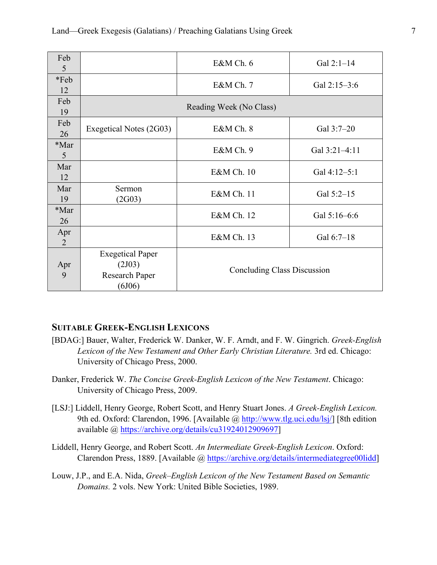| Feb<br>5   |                                                               | E&M Ch. 6                          | Gal $2:1-14$  |
|------------|---------------------------------------------------------------|------------------------------------|---------------|
| *Feb<br>12 |                                                               | E&M Ch. 7                          | Gal 2:15-3:6  |
| Feb<br>19  | Reading Week (No Class)                                       |                                    |               |
| Feb<br>26  | Exegetical Notes (2G03)                                       | E&M Ch. 8                          | Gal 3:7-20    |
| *Mar<br>5  |                                                               | E&M Ch. 9                          | Gal 3:21-4:11 |
| Mar<br>12  |                                                               | E&M Ch. 10                         | Gal 4:12-5:1  |
| Mar<br>19  | Sermon<br>(2G03)                                              | E&M Ch. 11                         | Gal 5:2-15    |
| *Mar<br>26 |                                                               | E&M Ch. 12                         | Gal 5:16-6:6  |
| Apr<br>2   |                                                               | E&M Ch. 13                         | Gal 6:7-18    |
| Apr<br>9   | <b>Exegetical Paper</b><br>(2J03)<br>Research Paper<br>(6J06) | <b>Concluding Class Discussion</b> |               |

### **SUITABLE GREEK-ENGLISH LEXICONS**

- [BDAG:] Bauer, Walter, Frederick W. Danker, W. F. Arndt, and F. W. Gingrich. *Greek-English Lexicon of the New Testament and Other Early Christian Literature.* 3rd ed. Chicago: University of Chicago Press, 2000.
- Danker, Frederick W. *The Concise Greek-English Lexicon of the New Testament*. Chicago: University of Chicago Press, 2009.
- [LSJ:] Liddell, Henry George, Robert Scott, and Henry Stuart Jones. *A Greek-English Lexicon.* 9th ed. Oxford: Clarendon, 1996. [Available @ http://www.tlg.uci.edu/lsj/] [8th edition available @ https://archive.org/details/cu31924012909697]
- Liddell, Henry George, and Robert Scott. *An Intermediate Greek-English Lexicon*. Oxford: Clarendon Press, 1889. [Available @ https://archive.org/details/intermediategree00lidd]
- Louw, J.P., and E.A. Nida, *Greek–English Lexicon of the New Testament Based on Semantic Domains.* 2 vols. New York: United Bible Societies, 1989.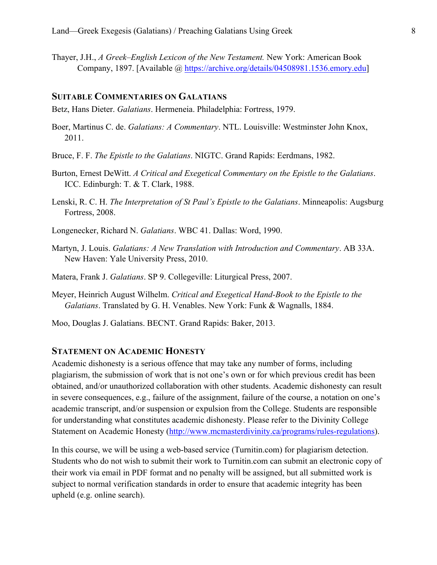Thayer, J.H., *A Greek–English Lexicon of the New Testament.* New York: American Book Company, 1897. [Available @ https://archive.org/details/04508981.1536.emory.edu]

#### **SUITABLE COMMENTARIES ON GALATIANS**

Betz, Hans Dieter. *Galatians*. Hermeneia. Philadelphia: Fortress, 1979.

- Boer, Martinus C. de. *Galatians: A Commentary*. NTL. Louisville: Westminster John Knox, 2011.
- Bruce, F. F. *The Epistle to the Galatians*. NIGTC. Grand Rapids: Eerdmans, 1982.
- Burton, Ernest DeWitt. *A Critical and Exegetical Commentary on the Epistle to the Galatians*. ICC. Edinburgh: T. & T. Clark, 1988.
- Lenski, R. C. H. *The Interpretation of St Paul's Epistle to the Galatians*. Minneapolis: Augsburg Fortress, 2008.
- Longenecker, Richard N. *Galatians*. WBC 41. Dallas: Word, 1990.
- Martyn, J. Louis. *Galatians: A New Translation with Introduction and Commentary*. AB 33A. New Haven: Yale University Press, 2010.
- Matera, Frank J. *Galatians*. SP 9. Collegeville: Liturgical Press, 2007.
- Meyer, Heinrich August Wilhelm. *Critical and Exegetical Hand-Book to the Epistle to the Galatians*. Translated by G. H. Venables. New York: Funk & Wagnalls, 1884.
- Moo, Douglas J. Galatians. BECNT. Grand Rapids: Baker, 2013.

#### **STATEMENT ON ACADEMIC HONESTY**

Academic dishonesty is a serious offence that may take any number of forms, including plagiarism, the submission of work that is not one's own or for which previous credit has been obtained, and/or unauthorized collaboration with other students. Academic dishonesty can result in severe consequences, e.g., failure of the assignment, failure of the course, a notation on one's academic transcript, and/or suspension or expulsion from the College. Students are responsible for understanding what constitutes academic dishonesty. Please refer to the Divinity College Statement on Academic Honesty (http://www.mcmasterdivinity.ca/programs/rules-regulations).

In this course, we will be using a web-based service (Turnitin.com) for plagiarism detection. Students who do not wish to submit their work to Turnitin.com can submit an electronic copy of their work via email in PDF format and no penalty will be assigned, but all submitted work is subject to normal verification standards in order to ensure that academic integrity has been upheld (e.g. online search).